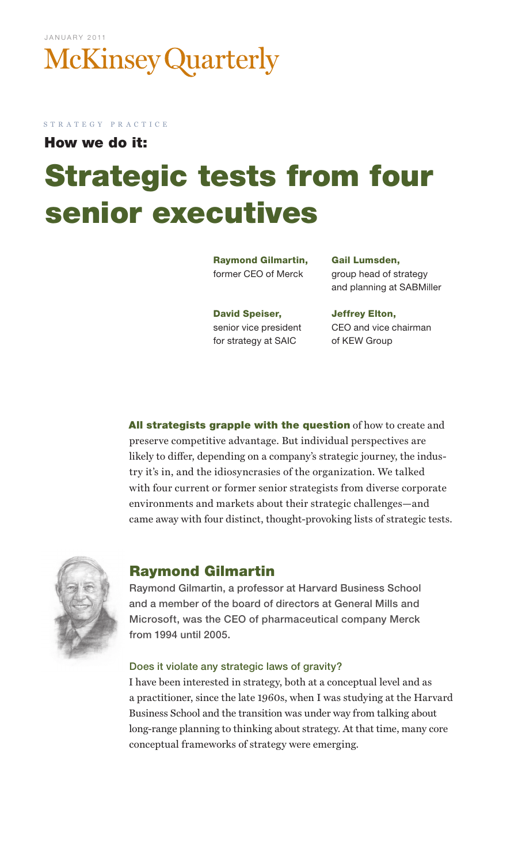# J A N U A R Y 2 0 11 **McKinsey Quarterly**

STRATEGY PRACTICE

How we do it:

# Strategic tests from four senior executives

Raymond Gilmartin, former CEO of Merck

group head of strategy and planning at SABMiller

Gail Lumsden,

David Speiser, senior vice president for strategy at SAIC

Jeffrey Elton, CEO and vice chairman of KEW Group

All strategists grapple with the question of how to create and preserve competitive advantage. But individual perspectives are likely to differ, depending on a company's strategic journey, the industry it's in, and the idiosyncrasies of the organization. We talked with four current or former senior strategists from diverse corporate environments and markets about their strategic challenges—and came away with four distinct, thought-provoking lists of strategic tests.



# Raymond Gilmartin

Raymond Gilmartin, a professor at Harvard Business School and a member of the board of directors at General Mills and Microsoft, was the CEO of pharmaceutical company Merck from 1994 until 2005.

# Does it violate any strategic laws of gravity?

I have been interested in strategy, both at a conceptual level and as a practitioner, since the late 1960s, when I was studying at the Harvard Business School and the transition was under way from talking about long-range planning to thinking about strategy. At that time, many core conceptual frameworks of strategy were emerging.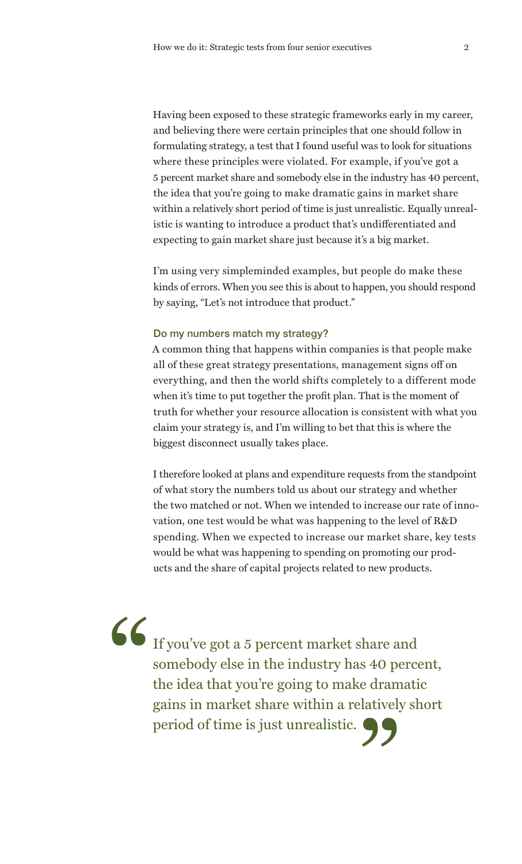Having been exposed to these strategic frameworks early in my career, and believing there were certain principles that one should follow in formulating strategy, a test that I found useful was to look for situations where these principles were violated. For example, if you've got a 5 percent market share and somebody else in the industry has 40 percent, the idea that you're going to make dramatic gains in market share within a relatively short period of time is just unrealistic. Equally unrealistic is wanting to introduce a product that's undifferentiated and expecting to gain market share just because it's a big market.

I'm using very simpleminded examples, but people do make these kinds of errors. When you see this is about to happen, you should respond by saying, "Let's not introduce that product."

#### Do my numbers match my strategy?

A common thing that happens within companies is that people make all of these great strategy presentations, management signs off on everything, and then the world shifts completely to a different mode when it's time to put together the profit plan. That is the moment of truth for whether your resource allocation is consistent with what you claim your strategy is, and I'm willing to bet that this is where the biggest disconnect usually takes place.

I therefore looked at plans and expenditure requests from the standpoint of what story the numbers told us about our strategy and whether the two matched or not. When we intended to increase our rate of innovation, one test would be what was happening to the level of R&D spending. When we expected to increase our market share, key tests would be what was happening to spending on promoting our products and the share of capital projects related to new products.

If you've got a 5 percent market share and somebody else in the industry has 40 percent, the idea that you're going to make dramatic gains in market share within a relatively short period of time is just unrealistic. "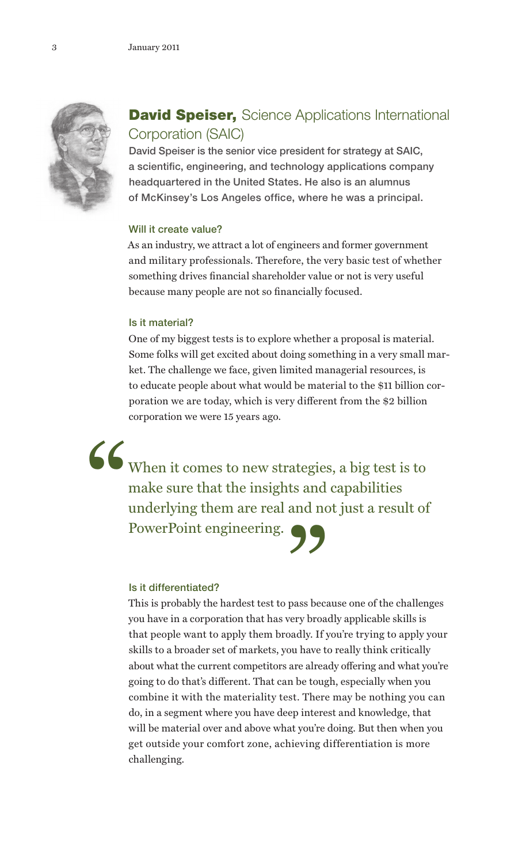

# **David Speiser, Science Applications International** Corporation (SAIC)

David Speiser is the senior vice president for strategy at SAIC, a scientific, engineering, and technology applications company headquartered in the United States. He also is an alumnus of McKinsey's Los Angeles office, where he was a principal.

## Will it create value?

As an industry, we attract a lot of engineers and former government and military professionals. Therefore, the very basic test of whether something drives financial shareholder value or not is very useful because many people are not so financially focused.

#### Is it material?

One of my biggest tests is to explore whether a proposal is material. Some folks will get excited about doing something in a very small market. The challenge we face, given limited managerial resources, is to educate people about what would be material to the \$11 billion corporation we are today, which is very different from the \$2 billion corporation we were 15 years ago.

When it comes to new strategies, a big test is to make sure that the insights and capabilities underlying them are real and not just a result of PowerPoint engineering.

# Is it differentiated?

"

This is probably the hardest test to pass because one of the challenges you have in a corporation that has very broadly applicable skills is 99<br>pass bec<br>very broa that people want to apply them broadly. If you're trying to apply your skills to a broader set of markets, you have to really think critically about what the current competitors are already offering and what you're going to do that's different. That can be tough, especially when you combine it with the materiality test. There may be nothing you can do, in a segment where you have deep interest and knowledge, that will be material over and above what you're doing. But then when you get outside your comfort zone, achieving differentiation is more challenging.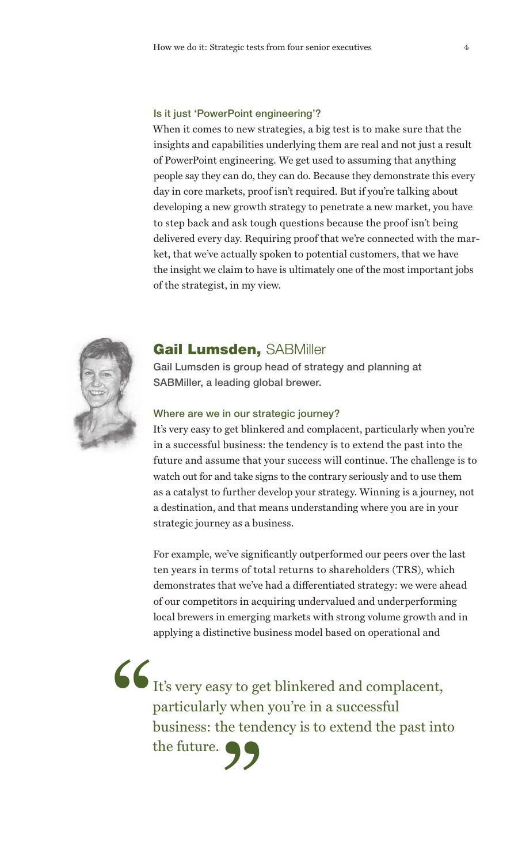# Is it just 'PowerPoint engineering'?

When it comes to new strategies, a big test is to make sure that the insights and capabilities underlying them are real and not just a result of PowerPoint engineering. We get used to assuming that anything people say they can do, they can do. Because they demonstrate this every day in core markets, proof isn't required. But if you're talking about developing a new growth strategy to penetrate a new market, you have to step back and ask tough questions because the proof isn't being delivered every day. Requiring proof that we're connected with the market, that we've actually spoken to potential customers, that we have the insight we claim to have is ultimately one of the most important jobs of the strategist, in my view.



# Gail Lumsden, SABMiller

Gail Lumsden is group head of strategy and planning at SABMiller, a leading global brewer.

# Where are we in our strategic journey?

It's very easy to get blinkered and complacent, particularly when you're in a successful business: the tendency is to extend the past into the future and assume that your success will continue. The challenge is to watch out for and take signs to the contrary seriously and to use them as a catalyst to further develop your strategy. Winning is a journey, not a destination, and that means understanding where you are in your strategic journey as a business.

For example, we've significantly outperformed our peers over the last ten years in terms of total returns to shareholders (TRS), which demonstrates that we've had a differentiated strategy: we were ahead of our competitors in acquiring undervalued and underperforming local brewers in emerging markets with strong volume growth and in applying a distinctive business model based on operational and

It's very easy to get blinkered and complacent, particularly when you're in a successful business: the tendency is to extend the past into " the future.  $\bigcirc$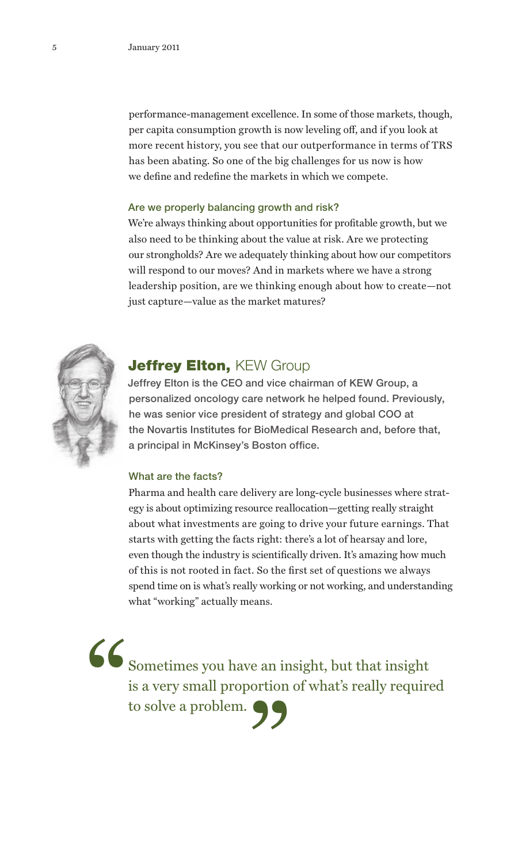performance-management excellence. In some of those markets, though, per capita consumption growth is now leveling off, and if you look at more recent history, you see that our outperformance in terms of TRS has been abating. So one of the big challenges for us now is how we define and redefine the markets in which we compete.

## Are we properly balancing growth and risk?

We're always thinking about opportunities for profitable growth, but we also need to be thinking about the value at risk. Are we protecting our strongholds? Are we adequately thinking about how our competitors will respond to our moves? And in markets where we have a strong leadership position, are we thinking enough about how to create—not just capture—value as the market matures?



# Jeffrey Elton, KEW Group

Jeffrey Elton is the CEO and vice chairman of KEW Group, a personalized oncology care network he helped found. Previously, he was senior vice president of strategy and global COO at the Novartis Institutes for BioMedical Research and, before that, a principal in McKinsey's Boston office.

## What are the facts?

Pharma and health care delivery are long-cycle businesses where strategy is about optimizing resource reallocation—getting really straight about what investments are going to drive your future earnings. That starts with getting the facts right: there's a lot of hearsay and lore, even though the industry is scientifically driven. It's amazing how much of this is not rooted in fact. So the first set of questions we always spend time on is what's really working or not working, and understanding what "working" actually means.